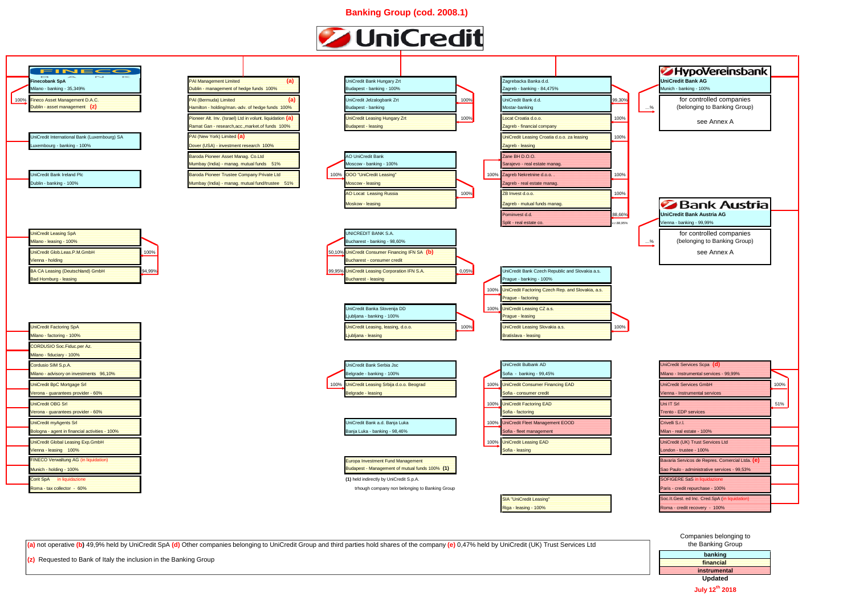**Banking Group (cod. 2008.1)**



## Companies belonging to the Banking  $Cr<sub>o</sub>$



## **HypoVereinsbank** for controlled companies (belonging to Banking Group) see Annex A **Bank Austria** for controlled companies (belonging to Banking Group)

| the Banking Group   |  |
|---------------------|--|
| banking             |  |
| financial           |  |
| <b>instrumental</b> |  |
| <b>Updated</b>      |  |
| July 12th 2018      |  |

**(a)** not operative **(b)** 49,9% held by UniCredit SpA **(d)** Other companies belonging to UniCredit Group and third parties hold shares of the company **(e)** 0,47% held by UniCredit (UK) Trust Services Ltd

**(z)** Requested to Bank of Italy the inclusion in the Banking Group